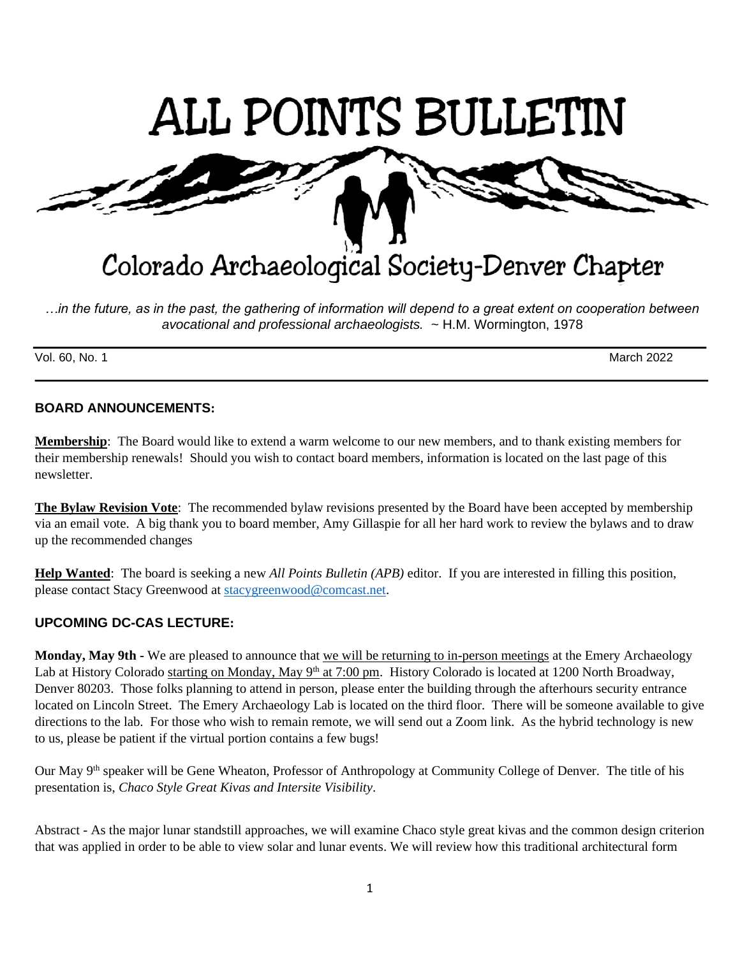

*…in the future, as in the past, the gathering of information will depend to a great extent on cooperation between avocational and professional archaeologists.* ~ H.M. Wormington, 1978

Vol. 60, No. 1 March 2022

# **BOARD ANNOUNCEMENTS:**

**Membership**: The Board would like to extend a warm welcome to our new members, and to thank existing members for their membership renewals! Should you wish to contact board members, information is located on the last page of this newsletter.

**The Bylaw Revision Vote**: The recommended bylaw revisions presented by the Board have been accepted by membership via an email vote. A big thank you to board member, Amy Gillaspie for all her hard work to review the bylaws and to draw up the recommended changes

**Help Wanted**: The board is seeking a new *All Points Bulletin (APB)* editor. If you are interested in filling this position, please contact Stacy Greenwood at [stacygreenwood@comcast.net.](mailto:stacygreenwood@comcast.net)

# **UPCOMING DC-CAS LECTURE:**

**Monday, May 9th** - We are pleased to announce that we will be returning to in-person meetings at the Emery Archaeology Lab at History Colorado starting on Monday, May 9<sup>th</sup> at 7:00 pm. History Colorado is located at 1200 North Broadway, Denver 80203. Those folks planning to attend in person, please enter the building through the afterhours security entrance located on Lincoln Street. The Emery Archaeology Lab is located on the third floor. There will be someone available to give directions to the lab. For those who wish to remain remote, we will send out a Zoom link. As the hybrid technology is new to us, please be patient if the virtual portion contains a few bugs!

Our May 9<sup>th</sup> speaker will be Gene Wheaton, Professor of Anthropology at Community College of Denver. The title of his presentation is, *Chaco Style Great Kivas and Intersite Visibility*.

Abstract - As the major lunar standstill approaches, we will examine Chaco style great kivas and the common design criterion that was applied in order to be able to view solar and lunar events. We will review how this traditional architectural form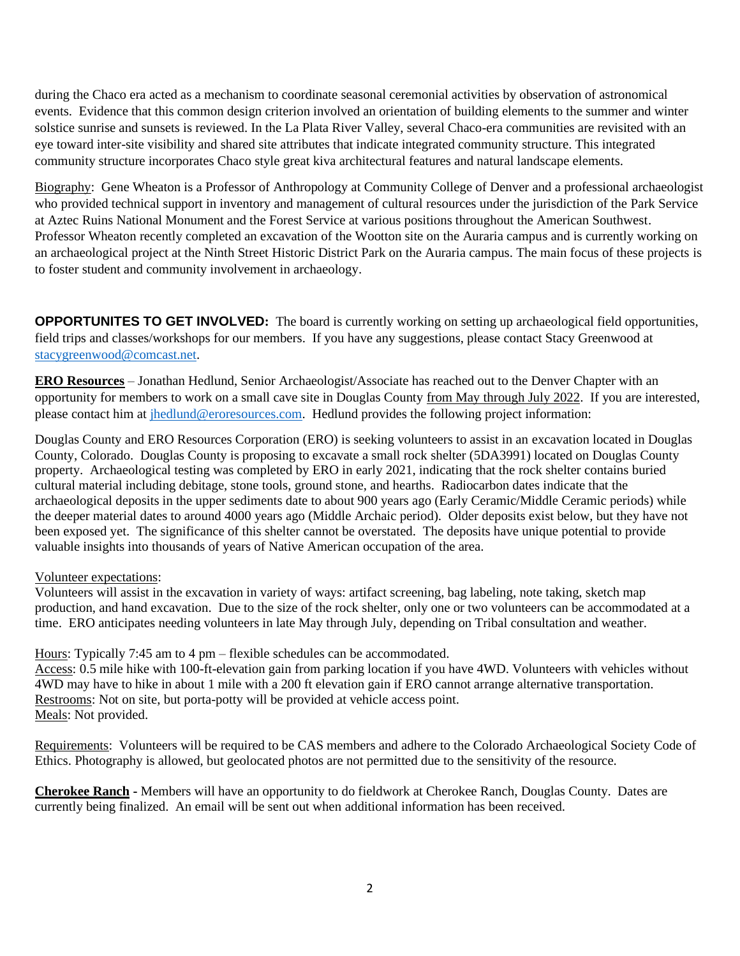during the Chaco era acted as a mechanism to coordinate seasonal ceremonial activities by observation of astronomical events. Evidence that this common design criterion involved an orientation of building elements to the summer and winter solstice sunrise and sunsets is reviewed. In the La Plata River Valley, several Chaco-era communities are revisited with an eye toward inter-site visibility and shared site attributes that indicate integrated community structure. This integrated community structure incorporates Chaco style great kiva architectural features and natural landscape elements.

Biography: Gene Wheaton is a Professor of Anthropology at Community College of Denver and a professional archaeologist who provided technical support in inventory and management of cultural resources under the jurisdiction of the Park Service at Aztec Ruins National Monument and the Forest Service at various positions throughout the American Southwest. Professor Wheaton recently completed an excavation of the Wootton site on the Auraria campus and is currently working on an archaeological project at the Ninth Street Historic District Park on the Auraria campus. The main focus of these projects is to foster student and community involvement in archaeology.

**OPPORTUNITES TO GET INVOLVED:** The board is currently working on setting up archaeological field opportunities, field trips and classes/workshops for our members. If you have any suggestions, please contact Stacy Greenwood at [stacygreenwood@comcast.net.](mailto:stacygreenwood@comcast.net)

**ERO Resources** – Jonathan Hedlund, Senior Archaeologist/Associate has reached out to the Denver Chapter with an opportunity for members to work on a small cave site in Douglas County from May through July 2022. If you are interested, please contact him at [jhedlund@eroresources.com.](mailto:jhedlund@eroresources.com) Hedlund provides the following project information:

Douglas County and ERO Resources Corporation (ERO) is seeking volunteers to assist in an excavation located in Douglas County, Colorado. Douglas County is proposing to excavate a small rock shelter (5DA3991) located on Douglas County property. Archaeological testing was completed by ERO in early 2021, indicating that the rock shelter contains buried cultural material including debitage, stone tools, ground stone, and hearths. Radiocarbon dates indicate that the archaeological deposits in the upper sediments date to about 900 years ago (Early Ceramic/Middle Ceramic periods) while the deeper material dates to around 4000 years ago (Middle Archaic period). Older deposits exist below, but they have not been exposed yet. The significance of this shelter cannot be overstated. The deposits have unique potential to provide valuable insights into thousands of years of Native American occupation of the area.

## Volunteer expectations:

Volunteers will assist in the excavation in variety of ways: artifact screening, bag labeling, note taking, sketch map production, and hand excavation. Due to the size of the rock shelter, only one or two volunteers can be accommodated at a time. ERO anticipates needing volunteers in late May through July, depending on Tribal consultation and weather.

Hours: Typically 7:45 am to 4 pm – flexible schedules can be accommodated.

Access: 0.5 mile hike with 100-ft-elevation gain from parking location if you have 4WD. Volunteers with vehicles without 4WD may have to hike in about 1 mile with a 200 ft elevation gain if ERO cannot arrange alternative transportation. Restrooms: Not on site, but porta-potty will be provided at vehicle access point. Meals: Not provided.

Requirements: Volunteers will be required to be CAS members and adhere to the Colorado Archaeological Society Code of Ethics. Photography is allowed, but geolocated photos are not permitted due to the sensitivity of the resource.

**Cherokee Ranch -** Members will have an opportunity to do fieldwork at Cherokee Ranch, Douglas County. Dates are currently being finalized. An email will be sent out when additional information has been received.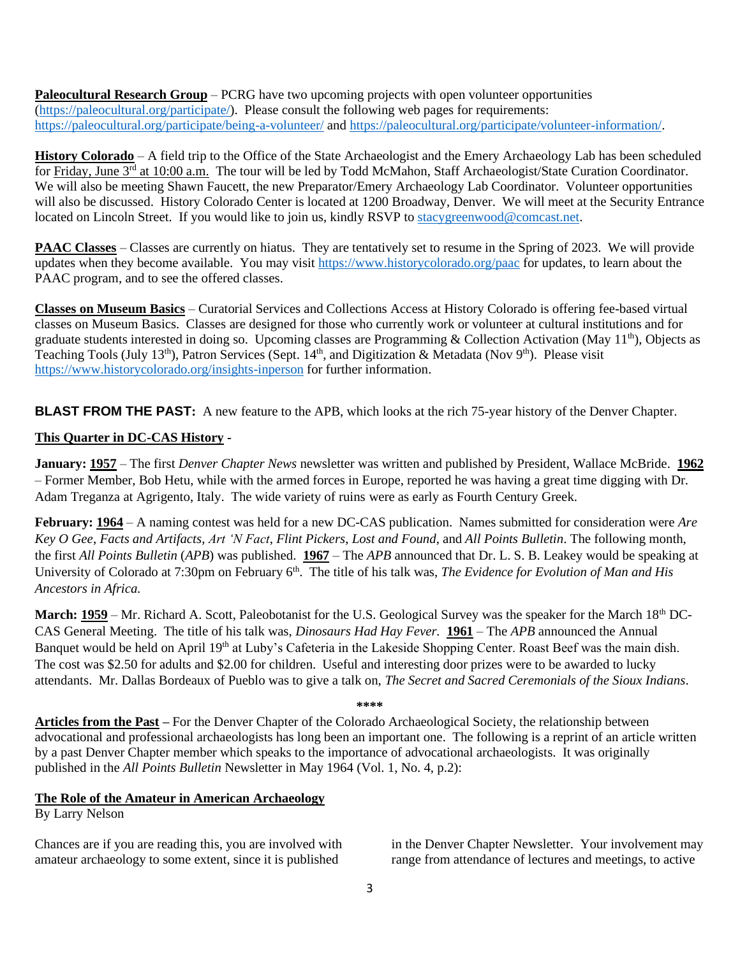**Paleocultural Research Group** – PCRG have two upcoming projects with open volunteer opportunities [\(https://paleocultural.org/participate/\)](https://paleocultural.org/participate/). Please consult the following web pages for requirements: <https://paleocultural.org/participate/being-a-volunteer/> and [https://paleocultural.org/participate/volunteer-information/.](https://paleocultural.org/participate/volunteer-information/)

**History Colorado** – A field trip to the Office of the State Archaeologist and the Emery Archaeology Lab has been scheduled for Friday, June 3<sup>rd</sup> at 10:00 a.m. The tour will be led by Todd McMahon, Staff Archaeologist/State Curation Coordinator. We will also be meeting Shawn Faucett, the new Preparator/Emery Archaeology Lab Coordinator. Volunteer opportunities will also be discussed. History Colorado Center is located at 1200 Broadway, Denver. We will meet at the Security Entrance located on Lincoln Street. If you would like to join us, kindly RSVP to [stacygreenwood@comcast.net.](mailto:stacygreenwood@comcast.net)

**PAAC Classes** – Classes are currently on hiatus. They are tentatively set to resume in the Spring of 2023. We will provide updates when they become available. You may visit<https://www.historycolorado.org/paac> for updates, to learn about the PAAC program, and to see the offered classes.

**Classes on Museum Basics** – Curatorial Services and Collections Access at History Colorado is offering fee-based virtual classes on Museum Basics. Classes are designed for those who currently work or volunteer at cultural institutions and for graduate students interested in doing so. Upcoming classes are Programming & Collection Activation (May 11th), Objects as Teaching Tools (July 13<sup>th</sup>), Patron Services (Sept. 14<sup>th</sup>, and Digitization & Metadata (Nov 9<sup>th</sup>). Please visit <https://www.historycolorado.org/insights-inperson> for further information.

**BLAST FROM THE PAST:** A new feature to the APB, which looks at the rich 75-year history of the Denver Chapter.

# **This Quarter in DC-CAS History -**

**January: 1957** – The first *Denver Chapter News* newsletter was written and published by President, Wallace McBride. **1962** – Former Member, Bob Hetu, while with the armed forces in Europe, reported he was having a great time digging with Dr. Adam Treganza at Agrigento, Italy. The wide variety of ruins were as early as Fourth Century Greek.

**February: 1964** – A naming contest was held for a new DC-CAS publication. Names submitted for consideration were *Are Key O Gee*, *Facts and Artifacts*, *Art 'N Fact*, *Flint Pickers*, *Lost and Found*, and *All Points Bulletin*. The following month, the first *All Points Bulletin* (*APB*) was published. **1967** – The *APB* announced that Dr. L. S. B. Leakey would be speaking at University of Colorado at 7:30pm on February 6<sup>th</sup>. The title of his talk was, *The Evidence for Evolution of Man and His Ancestors in Africa.*

**March:** 1959 – Mr. Richard A. Scott, Paleobotanist for the U.S. Geological Survey was the speaker for the March 18<sup>th</sup> DC-CAS General Meeting. The title of his talk was, *Dinosaurs Had Hay Fever.* **1961** – The *APB* announced the Annual Banquet would be held on April 19<sup>th</sup> at Luby's Cafeteria in the Lakeside Shopping Center. Roast Beef was the main dish. The cost was \$2.50 for adults and \$2.00 for children. Useful and interesting door prizes were to be awarded to lucky attendants. Mr. Dallas Bordeaux of Pueblo was to give a talk on, *The Secret and Sacred Ceremonials of the Sioux Indians*.

**\*\*\*\***

**Articles from the Past –** For the Denver Chapter of the Colorado Archaeological Society, the relationship between advocational and professional archaeologists has long been an important one. The following is a reprint of an article written by a past Denver Chapter member which speaks to the importance of advocational archaeologists. It was originally published in the *All Points Bulletin* Newsletter in May 1964 (Vol. 1, No. 4, p.2):

## **The Role of the Amateur in American Archaeology**

By Larry Nelson

Chances are if you are reading this, you are involved with amateur archaeology to some extent, since it is published

in the Denver Chapter Newsletter. Your involvement may range from attendance of lectures and meetings, to active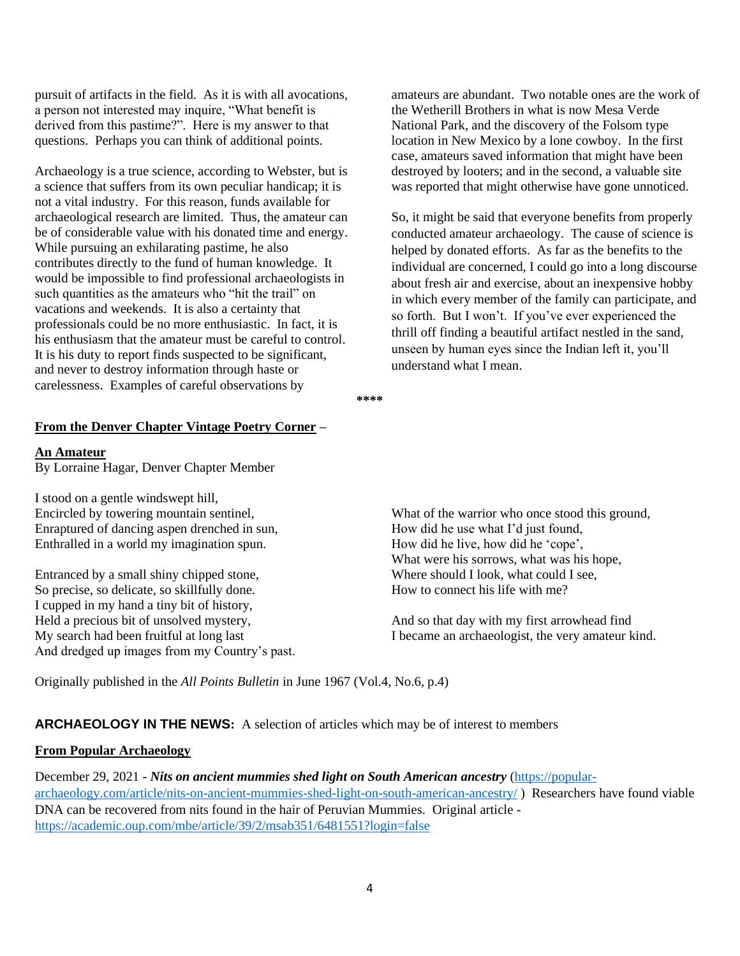pursuit of artifacts in the field. As it is with all avocations, a person not interested may inquire, "What benefit is derived from this pastime?". Here is my answer to that questions. Perhaps you can think of additional points.

Archaeology is a true science, according to Webster, but is a science that suffers from its own peculiar handicap; it is not a vital industry. For this reason, funds available for archaeological research are limited. Thus, the amateur can be of considerable value with his donated time and energy. While pursuing an exhilarating pastime, he also contributes directly to the fund of human knowledge. It would be impossible to find professional archaeologists in such quantities as the amateurs who "hit the trail" on vacations and weekends. It is also a certainty that professionals could be no more enthusiastic. In fact, it is his enthusiasm that the amateur must be careful to control. It is his duty to report finds suspected to be significant, and never to destroy information through haste or carelessness. Examples of careful observations by

amateurs are abundant. Two notable ones are the work of the Wetherill Brothers in what is now Mesa Verde National Park, and the discovery of the Folsom type location in New Mexico by a lone cowboy. In the first case, amateurs saved information that might have been destroyed by looters; and in the second, a valuable site was reported that might otherwise have gone unnoticed.

So, it might be said that everyone benefits from properly conducted amateur archaeology. The cause of science is helped by donated efforts. As far as the benefits to the individual are concerned, I could go into a long discourse about fresh air and exercise, about an inexpensive hobby in which every member of the family can participate, and so forth. But I won't. If you've ever experienced the thrill off finding a beautiful artifact nestled in the sand, unseen by human eyes since the Indian left it, you'll understand what I mean.

**\*\*\*\***

### **From the Denver Chapter Vintage Poetry Corner –**

## **An Amateur**

By Lorraine Hagar, Denver Chapter Member

I stood on a gentle windswept hill, Encircled by towering mountain sentinel, Enraptured of dancing aspen drenched in sun, Enthralled in a world my imagination spun.

Entranced by a small shiny chipped stone, So precise, so delicate, so skillfully done. I cupped in my hand a tiny bit of history, Held a precious bit of unsolved mystery, My search had been fruitful at long last And dredged up images from my Country's past.

What of the warrior who once stood this ground, How did he use what I'd just found, How did he live, how did he 'cope', What were his sorrows, what was his hope, Where should I look, what could I see, How to connect his life with me?

And so that day with my first arrowhead find I became an archaeologist, the very amateur kind.

Originally published in the *All Points Bulletin* in June 1967 (Vol.4, No.6, p.4)

**ARCHAEOLOGY IN THE NEWS:** A selection of articles which may be of interest to members

# **From Popular Archaeology**

December 29, 2021 - *Nits on ancient mummies shed light on South American ancestry* [\(https://popular](https://popular-archaeology.com/article/nits-on-ancient-mummies-shed-light-on-south-american-ancestry/)[archaeology.com/article/nits-on-ancient-mummies-shed-light-on-south-american-ancestry/](https://popular-archaeology.com/article/nits-on-ancient-mummies-shed-light-on-south-american-ancestry/) ) Researchers have found viable DNA can be recovered from nits found in the hair of Peruvian Mummies. Original article <https://academic.oup.com/mbe/article/39/2/msab351/6481551?login=false>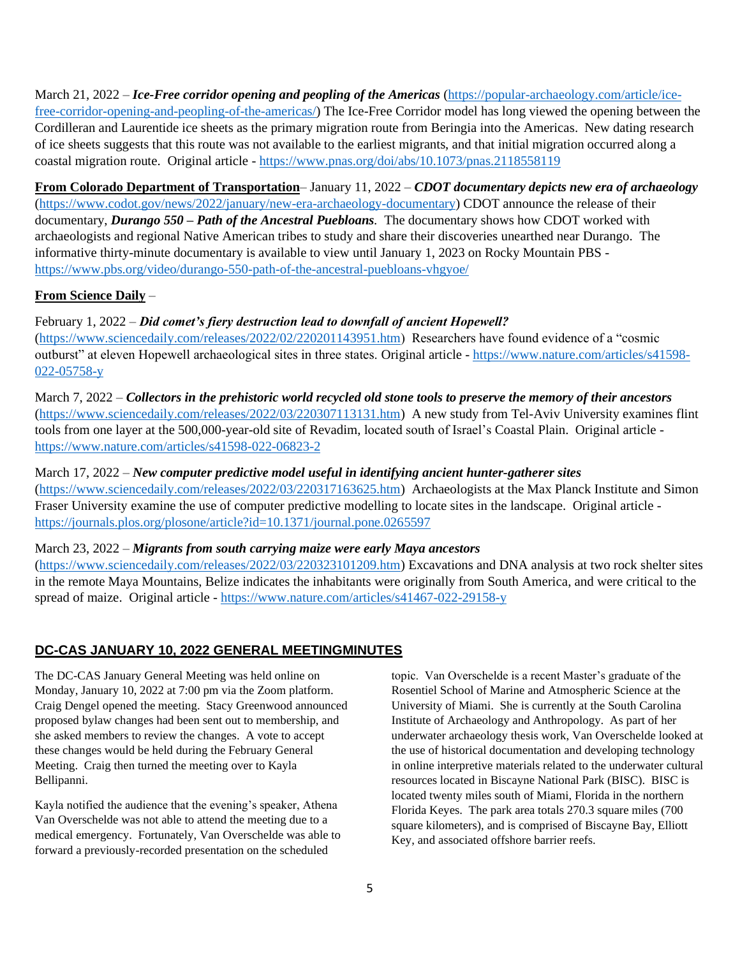March 21, 2022 – *Ice-Free corridor opening and peopling of the Americas* [\(https://popular-archaeology.com/article/ice](https://popular-archaeology.com/article/ice-free-corridor-opening-and-peopling-of-the-americas/)[free-corridor-opening-and-peopling-of-the-americas/\)](https://popular-archaeology.com/article/ice-free-corridor-opening-and-peopling-of-the-americas/) The Ice-Free Corridor model has long viewed the opening between the Cordilleran and Laurentide ice sheets as the primary migration route from Beringia into the Americas. New dating research of ice sheets suggests that this route was not available to the earliest migrants, and that initial migration occurred along a coastal migration route. Original article - <https://www.pnas.org/doi/abs/10.1073/pnas.2118558119>

**From Colorado Department of Transportation**– January 11, 2022 – *CDOT documentary depicts new era of archaeology* [\(https://www.codot.gov/news/2022/january/new-era-archaeology-documentary\)](https://www.codot.gov/news/2022/january/new-era-archaeology-documentary) CDOT announce the release of their documentary, *Durango 550 – Path of the Ancestral Puebloans.* The documentary shows how CDOT worked with archaeologists and regional Native American tribes to study and share their discoveries unearthed near Durango. The informative thirty-minute documentary is available to view until January 1, 2023 on Rocky Mountain PBS <https://www.pbs.org/video/durango-550-path-of-the-ancestral-puebloans-vhgyoe/>

# **From Science Daily** –

February 1, 2022 – *Did comet's fiery destruction lead to downfall of ancient Hopewell?*

[\(https://www.sciencedaily.com/releases/2022/02/220201143951.htm\)](https://www.sciencedaily.com/releases/2022/02/220201143951.htm) Researchers have found evidence of a "cosmic outburst" at eleven Hopewell archaeological sites in three states. Original article - [https://www.nature.com/articles/s41598-](https://www.nature.com/articles/s41598-022-05758-y) [022-05758-y](https://www.nature.com/articles/s41598-022-05758-y)

March 7, 2022 – *Collectors in the prehistoric world recycled old stone tools to preserve the memory of their ancestors* [\(https://www.sciencedaily.com/releases/2022/03/220307113131.htm\)](https://www.sciencedaily.com/releases/2022/03/220307113131.htm) A new study from Tel-Aviv University examines flint tools from one layer at the 500,000-year-old site of Revadim, located south of Israel's Coastal Plain. Original article <https://www.nature.com/articles/s41598-022-06823-2>

March 17, 2022 – *New computer predictive model useful in identifying ancient hunter-gatherer sites* [\(https://www.sciencedaily.com/releases/2022/03/220317163625.htm\)](https://www.sciencedaily.com/releases/2022/03/220317163625.htm) Archaeologists at the Max Planck Institute and Simon Fraser University examine the use of computer predictive modelling to locate sites in the landscape. Original article <https://journals.plos.org/plosone/article?id=10.1371/journal.pone.0265597>

March 23, 2022 – *Migrants from south carrying maize were early Maya ancestors*

[\(https://www.sciencedaily.com/releases/2022/03/220323101209.htm\)](https://www.sciencedaily.com/releases/2022/03/220323101209.htm) Excavations and DNA analysis at two rock shelter sites in the remote Maya Mountains, Belize indicates the inhabitants were originally from South America, and were critical to the spread of maize. Original article - <https://www.nature.com/articles/s41467-022-29158-y>

# **DC-CAS JANUARY 10, 2022 GENERAL MEETINGMINUTES**

The DC-CAS January General Meeting was held online on Monday, January 10, 2022 at 7:00 pm via the Zoom platform. Craig Dengel opened the meeting. Stacy Greenwood announced proposed bylaw changes had been sent out to membership, and she asked members to review the changes. A vote to accept these changes would be held during the February General Meeting. Craig then turned the meeting over to Kayla Bellipanni.

Kayla notified the audience that the evening's speaker, Athena Van Overschelde was not able to attend the meeting due to a medical emergency. Fortunately, Van Overschelde was able to forward a previously-recorded presentation on the scheduled

topic. Van Overschelde is a recent Master's graduate of the Rosentiel School of Marine and Atmospheric Science at the University of Miami. She is currently at the South Carolina Institute of Archaeology and Anthropology. As part of her underwater archaeology thesis work, Van Overschelde looked at the use of historical documentation and developing technology in online interpretive materials related to the underwater cultural resources located in Biscayne National Park (BISC). BISC is located twenty miles south of Miami, Florida in the northern Florida Keyes. The park area totals 270.3 square miles (700 square kilometers), and is comprised of Biscayne Bay, Elliott Key, and associated offshore barrier reefs.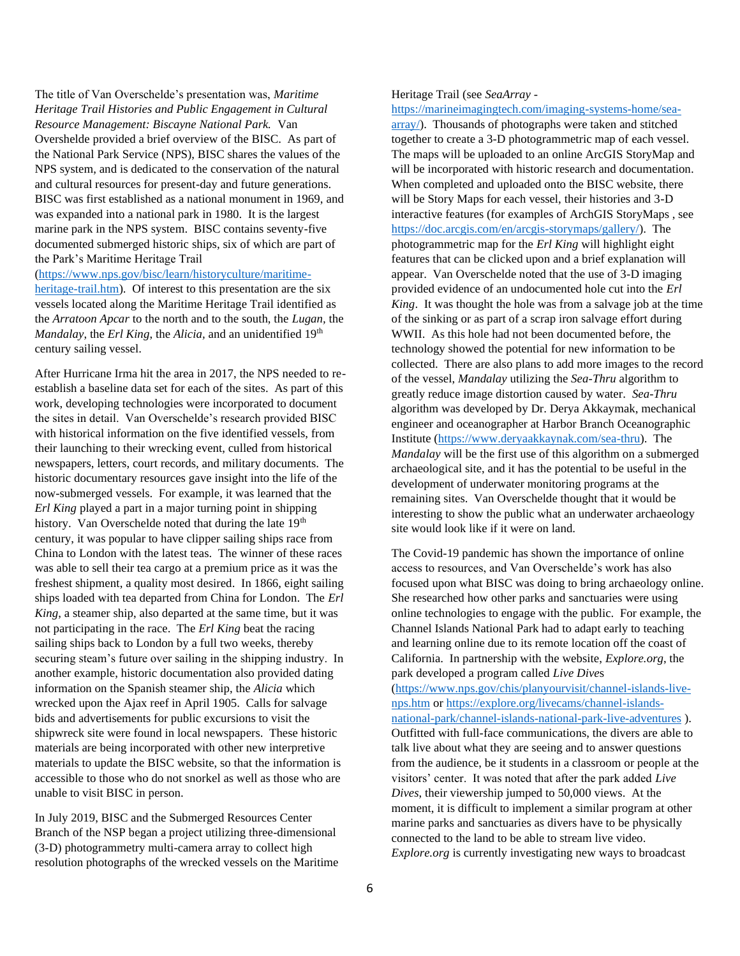The title of Van Overschelde's presentation was, *Maritime Heritage Trail Histories and Public Engagement in Cultural Resource Management: Biscayne National Park.* Van Overshelde provided a brief overview of the BISC. As part of the National Park Service (NPS), BISC shares the values of the NPS system, and is dedicated to the conservation of the natural and cultural resources for present-day and future generations. BISC was first established as a national monument in 1969, and was expanded into a national park in 1980. It is the largest marine park in the NPS system. BISC contains seventy-five documented submerged historic ships, six of which are part of the Park's Maritime Heritage Trail

#### [\(https://www.nps.gov/bisc/learn/historyculture/maritime-](https://www.nps.gov/bisc/learn/historyculture/maritime-heritage-trail.htm)

[heritage-trail.htm\)](https://www.nps.gov/bisc/learn/historyculture/maritime-heritage-trail.htm). Of interest to this presentation are the six vessels located along the Maritime Heritage Trail identified as the *Arratoon Apcar* to the north and to the south, the *Lugan,* the *Mandalay*, the *Erl King*, the *Alicia*, and an unidentified 19<sup>th</sup> century sailing vessel.

After Hurricane Irma hit the area in 2017, the NPS needed to reestablish a baseline data set for each of the sites. As part of this work, developing technologies were incorporated to document the sites in detail. Van Overschelde's research provided BISC with historical information on the five identified vessels, from their launching to their wrecking event, culled from historical newspapers, letters, court records, and military documents. The historic documentary resources gave insight into the life of the now-submerged vessels. For example, it was learned that the *Erl King* played a part in a major turning point in shipping history. Van Overschelde noted that during the late 19<sup>th</sup> century, it was popular to have clipper sailing ships race from China to London with the latest teas. The winner of these races was able to sell their tea cargo at a premium price as it was the freshest shipment, a quality most desired. In 1866, eight sailing ships loaded with tea departed from China for London. The *Erl King*, a steamer ship, also departed at the same time, but it was not participating in the race. The *Erl King* beat the racing sailing ships back to London by a full two weeks, thereby securing steam's future over sailing in the shipping industry. In another example, historic documentation also provided dating information on the Spanish steamer ship, the *Alicia* which wrecked upon the Ajax reef in April 1905. Calls for salvage bids and advertisements for public excursions to visit the shipwreck site were found in local newspapers. These historic materials are being incorporated with other new interpretive materials to update the BISC website, so that the information is accessible to those who do not snorkel as well as those who are unable to visit BISC in person.

In July 2019, BISC and the Submerged Resources Center Branch of the NSP began a project utilizing three-dimensional (3-D) photogrammetry multi-camera array to collect high resolution photographs of the wrecked vessels on the Maritime

#### Heritage Trail (see *SeaArray -*

[https://marineimagingtech.com/imaging-systems-home/sea](https://marineimagingtech.com/imaging-systems-home/sea-array/)[array/\)](https://marineimagingtech.com/imaging-systems-home/sea-array/). Thousands of photographs were taken and stitched together to create a 3-D photogrammetric map of each vessel. The maps will be uploaded to an online ArcGIS StoryMap and will be incorporated with historic research and documentation. When completed and uploaded onto the BISC website, there will be Story Maps for each vessel, their histories and 3-D interactive features (for examples of ArchGIS StoryMaps , see [https://doc.arcgis.com/en/arcgis-storymaps/gallery/\)](https://doc.arcgis.com/en/arcgis-storymaps/gallery/). The photogrammetric map for the *Erl King* will highlight eight features that can be clicked upon and a brief explanation will appear. Van Overschelde noted that the use of 3-D imaging provided evidence of an undocumented hole cut into the *Erl King*. It was thought the hole was from a salvage job at the time of the sinking or as part of a scrap iron salvage effort during WWII. As this hole had not been documented before, the technology showed the potential for new information to be collected. There are also plans to add more images to the record of the vessel, *Mandalay* utilizing the *Sea-Thru* algorithm to greatly reduce image distortion caused by water. *Sea-Thru* algorithm was developed by Dr. Derya Akkaymak, mechanical engineer and oceanographer at Harbor Branch Oceanographic Institute [\(https://www.deryaakkaynak.com/sea-thru\)](https://www.deryaakkaynak.com/sea-thru). The *Mandalay* will be the first use of this algorithm on a submerged archaeological site, and it has the potential to be useful in the development of underwater monitoring programs at the remaining sites. Van Overschelde thought that it would be interesting to show the public what an underwater archaeology site would look like if it were on land.

The Covid-19 pandemic has shown the importance of online access to resources, and Van Overschelde's work has also focused upon what BISC was doing to bring archaeology online. She researched how other parks and sanctuaries were using online technologies to engage with the public. For example, the Channel Islands National Park had to adapt early to teaching and learning online due to its remote location off the coast of California. In partnership with the website, *Explore.org*, the park developed a program called *Live Dive*s [\(https://www.nps.gov/chis/planyourvisit/channel-islands-live](https://www.nps.gov/chis/planyourvisit/channel-islands-live-nps.htm)[nps.htm](https://www.nps.gov/chis/planyourvisit/channel-islands-live-nps.htm) or [https://explore.org/livecams/channel-islands](https://explore.org/livecams/channel-islands-national-park/channel-islands-national-park-live-adventures)[national-park/channel-islands-national-park-live-adventures](https://explore.org/livecams/channel-islands-national-park/channel-islands-national-park-live-adventures) ). Outfitted with full-face communications, the divers are able to talk live about what they are seeing and to answer questions from the audience, be it students in a classroom or people at the visitors' center. It was noted that after the park added *Live Dives*, their viewership jumped to 50,000 views. At the moment, it is difficult to implement a similar program at other marine parks and sanctuaries as divers have to be physically connected to the land to be able to stream live video. *Explore.org* is currently investigating new ways to broadcast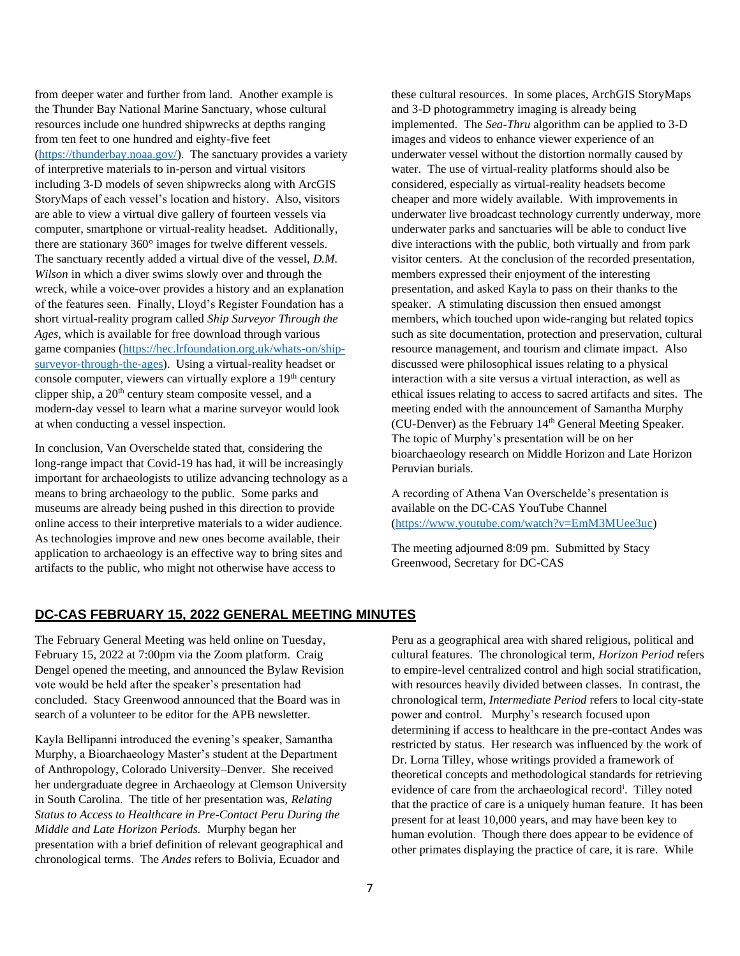from deeper water and further from land. Another example is the Thunder Bay National Marine Sanctuary, whose cultural resources include one hundred shipwrecks at depths ranging from ten feet to one hundred and eighty-five feet [\(https://thunderbay.noaa.gov/\)](https://thunderbay.noaa.gov/). The sanctuary provides a variety of interpretive materials to in-person and virtual visitors including 3-D models of seven shipwrecks along with ArcGIS StoryMaps of each vessel's location and history. Also, visitors are able to view a virtual dive gallery of fourteen vessels via computer, smartphone or virtual-reality headset. Additionally, there are stationary 360° images for twelve different vessels. The sanctuary recently added a virtual dive of the vessel, *D.M. Wilson* in which a diver swims slowly over and through the wreck, while a voice-over provides a history and an explanation of the features seen. Finally, Lloyd's Register Foundation has a short virtual-reality program called *Ship Surveyor Through the Ages*, which is available for free download through various game companies [\(https://hec.lrfoundation.org.uk/whats-on/ship](https://hec.lrfoundation.org.uk/whats-on/ship-surveyor-through-the-ages)[surveyor-through-the-ages\)](https://hec.lrfoundation.org.uk/whats-on/ship-surveyor-through-the-ages). Using a virtual-reality headset or console computer, viewers can virtually explore a 19<sup>th</sup> century clipper ship, a  $20<sup>th</sup>$  century steam composite vessel, and a modern-day vessel to learn what a marine surveyor would look at when conducting a vessel inspection.

In conclusion, Van Overschelde stated that, considering the long-range impact that Covid-19 has had, it will be increasingly important for archaeologists to utilize advancing technology as a means to bring archaeology to the public. Some parks and museums are already being pushed in this direction to provide online access to their interpretive materials to a wider audience. As technologies improve and new ones become available, their application to archaeology is an effective way to bring sites and artifacts to the public, who might not otherwise have access to

these cultural resources. In some places, ArchGIS StoryMaps and 3-D photogrammetry imaging is already being implemented. The *Sea-Thru* algorithm can be applied to 3-D images and videos to enhance viewer experience of an underwater vessel without the distortion normally caused by water. The use of virtual-reality platforms should also be considered, especially as virtual-reality headsets become cheaper and more widely available. With improvements in underwater live broadcast technology currently underway, more underwater parks and sanctuaries will be able to conduct live dive interactions with the public, both virtually and from park visitor centers. At the conclusion of the recorded presentation, members expressed their enjoyment of the interesting presentation, and asked Kayla to pass on their thanks to the speaker. A stimulating discussion then ensued amongst members, which touched upon wide-ranging but related topics such as site documentation, protection and preservation, cultural resource management, and tourism and climate impact. Also discussed were philosophical issues relating to a physical interaction with a site versus a virtual interaction, as well as ethical issues relating to access to sacred artifacts and sites. The meeting ended with the announcement of Samantha Murphy (CU-Denver) as the February  $14<sup>th</sup>$  General Meeting Speaker. The topic of Murphy's presentation will be on her bioarchaeology research on Middle Horizon and Late Horizon Peruvian burials.

A recording of Athena Van Overschelde's presentation is available on the DC-CAS YouTube Channel [\(https://www.youtube.com/watch?v=EmM3MUee3uc\)](https://www.youtube.com/watch?v=EmM3MUee3uc)

The meeting adjourned 8:09 pm. Submitted by Stacy Greenwood, Secretary for DC-CAS

## **DC-CAS FEBRUARY 15, 2022 GENERAL MEETING MINUTES**

The February General Meeting was held online on Tuesday, February 15, 2022 at 7:00pm via the Zoom platform. Craig Dengel opened the meeting, and announced the Bylaw Revision vote would be held after the speaker's presentation had concluded. Stacy Greenwood announced that the Board was in search of a volunteer to be editor for the APB newsletter.

Kayla Bellipanni introduced the evening's speaker, Samantha Murphy, a Bioarchaeology Master's student at the Department of Anthropology, Colorado University–Denver. She received her undergraduate degree in Archaeology at Clemson University in South Carolina. The title of her presentation was, *Relating Status to Access to Healthcare in Pre-Contact Peru During the Middle and Late Horizon Periods.* Murphy began her presentation with a brief definition of relevant geographical and chronological terms. The *Andes* refers to Bolivia, Ecuador and

Peru as a geographical area with shared religious, political and cultural features. The chronological term, *Horizon Period* refers to empire-level centralized control and high social stratification, with resources heavily divided between classes. In contrast, the chronological term, *Intermediate Period* refers to local city-state power and control. Murphy's research focused upon determining if access to healthcare in the pre-contact Andes was restricted by status. Her research was influenced by the work of Dr. Lorna Tilley, whose writings provided a framework of theoretical concepts and methodological standards for retrieving evidence of care from the archaeological record<sup>i</sup>. Tilley noted that the practice of care is a uniquely human feature. It has been present for at least 10,000 years, and may have been key to human evolution. Though there does appear to be evidence of other primates displaying the practice of care, it is rare. While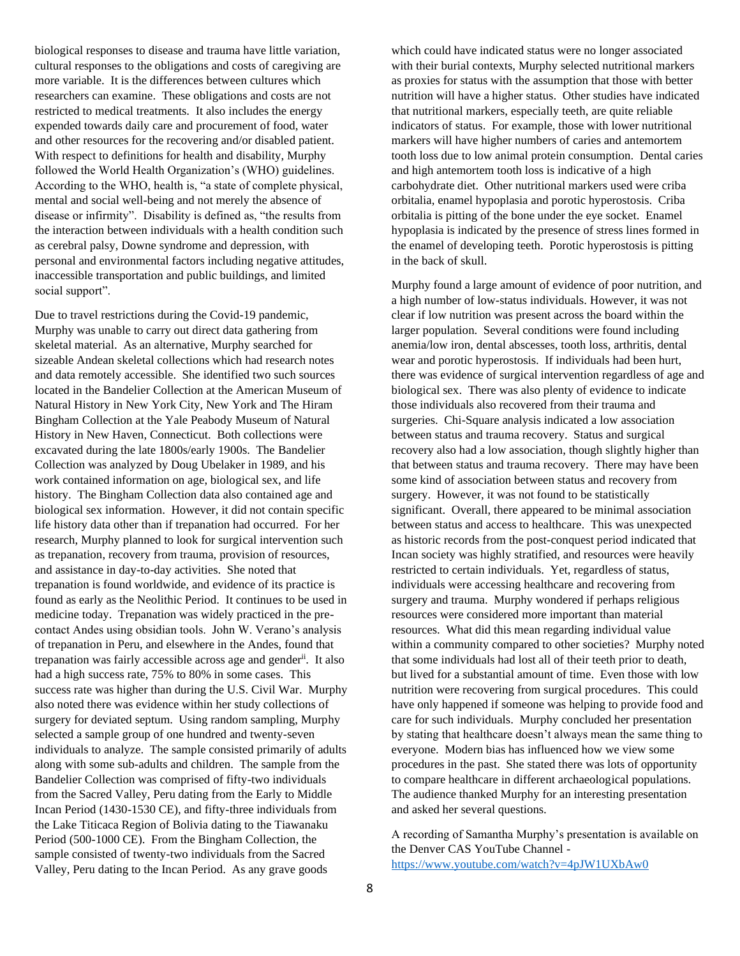biological responses to disease and trauma have little variation, cultural responses to the obligations and costs of caregiving are more variable. It is the differences between cultures which researchers can examine. These obligations and costs are not restricted to medical treatments. It also includes the energy expended towards daily care and procurement of food, water and other resources for the recovering and/or disabled patient. With respect to definitions for health and disability, Murphy followed the World Health Organization's (WHO) guidelines. According to the WHO, health is, "a state of complete physical, mental and social well-being and not merely the absence of disease or infirmity". Disability is defined as, "the results from the interaction between individuals with a health condition such as cerebral palsy, Downe syndrome and depression, with personal and environmental factors including negative attitudes, inaccessible transportation and public buildings, and limited social support".

Due to travel restrictions during the Covid-19 pandemic, Murphy was unable to carry out direct data gathering from skeletal material. As an alternative, Murphy searched for sizeable Andean skeletal collections which had research notes and data remotely accessible. She identified two such sources located in the Bandelier Collection at the American Museum of Natural History in New York City, New York and The Hiram Bingham Collection at the Yale Peabody Museum of Natural History in New Haven, Connecticut. Both collections were excavated during the late 1800s/early 1900s. The Bandelier Collection was analyzed by Doug Ubelaker in 1989, and his work contained information on age, biological sex, and life history. The Bingham Collection data also contained age and biological sex information. However, it did not contain specific life history data other than if trepanation had occurred. For her research, Murphy planned to look for surgical intervention such as trepanation, recovery from trauma, provision of resources, and assistance in day-to-day activities. She noted that trepanation is found worldwide, and evidence of its practice is found as early as the Neolithic Period. It continues to be used in medicine today. Trepanation was widely practiced in the precontact Andes using obsidian tools. John W. Verano's analysis of trepanation in Peru, and elsewhere in the Andes, found that trepanation was fairly accessible across age and genderii. It also had a high success rate, 75% to 80% in some cases. This success rate was higher than during the U.S. Civil War. Murphy also noted there was evidence within her study collections of surgery for deviated septum. Using random sampling, Murphy selected a sample group of one hundred and twenty-seven individuals to analyze. The sample consisted primarily of adults along with some sub-adults and children. The sample from the Bandelier Collection was comprised of fifty-two individuals from the Sacred Valley, Peru dating from the Early to Middle Incan Period (1430-1530 CE), and fifty-three individuals from the Lake Titicaca Region of Bolivia dating to the Tiawanaku Period (500-1000 CE). From the Bingham Collection, the sample consisted of twenty-two individuals from the Sacred Valley, Peru dating to the Incan Period. As any grave goods

which could have indicated status were no longer associated with their burial contexts, Murphy selected nutritional markers as proxies for status with the assumption that those with better nutrition will have a higher status. Other studies have indicated that nutritional markers, especially teeth, are quite reliable indicators of status. For example, those with lower nutritional markers will have higher numbers of caries and antemortem tooth loss due to low animal protein consumption. Dental caries and high antemortem tooth loss is indicative of a high carbohydrate diet. Other nutritional markers used were criba orbitalia, enamel hypoplasia and porotic hyperostosis. Criba orbitalia is pitting of the bone under the eye socket. Enamel hypoplasia is indicated by the presence of stress lines formed in the enamel of developing teeth. Porotic hyperostosis is pitting in the back of skull.

Murphy found a large amount of evidence of poor nutrition, and a high number of low-status individuals. However, it was not clear if low nutrition was present across the board within the larger population. Several conditions were found including anemia/low iron, dental abscesses, tooth loss, arthritis, dental wear and porotic hyperostosis. If individuals had been hurt, there was evidence of surgical intervention regardless of age and biological sex. There was also plenty of evidence to indicate those individuals also recovered from their trauma and surgeries. Chi-Square analysis indicated a low association between status and trauma recovery. Status and surgical recovery also had a low association, though slightly higher than that between status and trauma recovery. There may have been some kind of association between status and recovery from surgery. However, it was not found to be statistically significant. Overall, there appeared to be minimal association between status and access to healthcare. This was unexpected as historic records from the post-conquest period indicated that Incan society was highly stratified, and resources were heavily restricted to certain individuals. Yet, regardless of status, individuals were accessing healthcare and recovering from surgery and trauma. Murphy wondered if perhaps religious resources were considered more important than material resources. What did this mean regarding individual value within a community compared to other societies? Murphy noted that some individuals had lost all of their teeth prior to death, but lived for a substantial amount of time. Even those with low nutrition were recovering from surgical procedures. This could have only happened if someone was helping to provide food and care for such individuals. Murphy concluded her presentation by stating that healthcare doesn't always mean the same thing to everyone. Modern bias has influenced how we view some procedures in the past. She stated there was lots of opportunity to compare healthcare in different archaeological populations. The audience thanked Murphy for an interesting presentation and asked her several questions.

A recording of Samantha Murphy's presentation is available on the Denver CAS YouTube Channel <https://www.youtube.com/watch?v=4pJW1UXbAw0>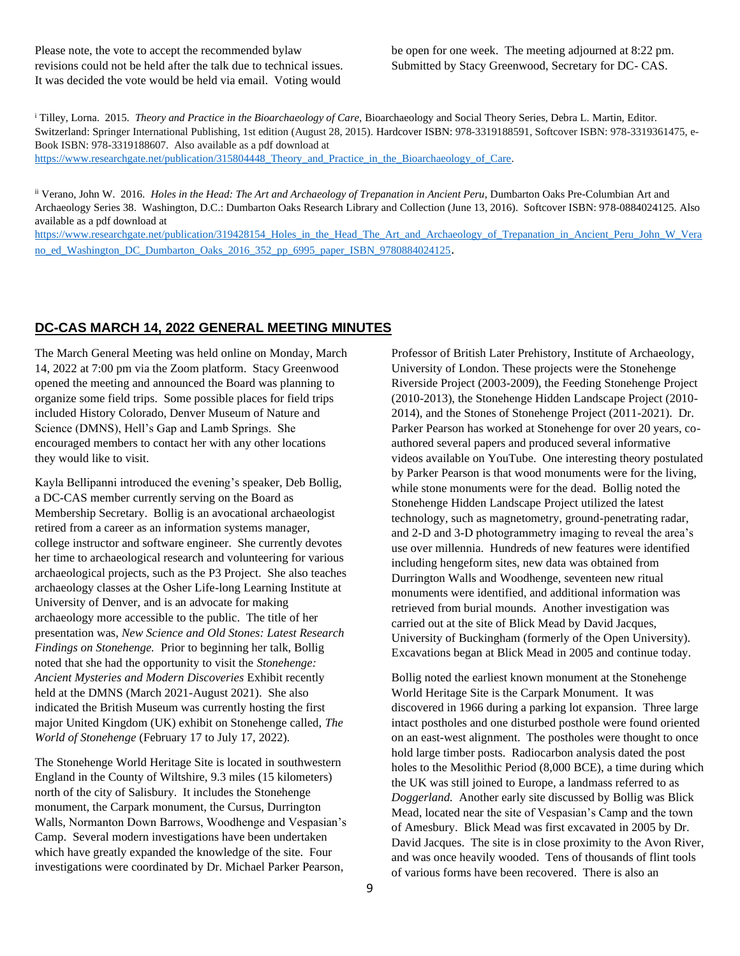Please note, the vote to accept the recommended bylaw revisions could not be held after the talk due to technical issues. It was decided the vote would be held via email. Voting would

be open for one week. The meeting adjourned at 8:22 pm. Submitted by Stacy Greenwood, Secretary for DC- CAS.

<sup>i</sup> Tilley, Lorna. 2015. *Theory and Practice in the Bioarchaeology of Care*, Bioarchaeology and Social Theory Series, Debra L. Martin, Editor. Switzerland: Springer International Publishing, 1st edition (August 28, 2015). Hardcover ISBN: 978-3319188591, Softcover ISBN: 978-3319361475, e-Book ISBN: 978-3319188607. Also available as a pdf download at [https://www.researchgate.net/publication/315804448\\_Theory\\_and\\_Practice\\_in\\_the\\_Bioarchaeology\\_of\\_Care.](https://www.researchgate.net/publication/315804448_Theory_and_Practice_in_the_Bioarchaeology_of_Care)

ii Verano, John W. 2016. *Holes in the Head: The Art and Archaeology of Trepanation in Ancient Peru*, Dumbarton Oaks Pre-Columbian Art and Archaeology Series 38. Washington, D.C.: Dumbarton Oaks Research Library and Collection (June 13, 2016). Softcover ISBN: 978-0884024125. Also available as a pdf download at

[https://www.researchgate.net/publication/319428154\\_Holes\\_in\\_the\\_Head\\_The\\_Art\\_and\\_Archaeology\\_of\\_Trepanation\\_in\\_Ancient\\_Peru\\_John\\_W\\_Vera](https://www.researchgate.net/publication/319428154_Holes_in_the_Head_The_Art_and_Archaeology_of_Trepanation_in_Ancient_Peru_John_W_Verano_ed_Washington_DC_Dumbarton_Oaks_2016_352_pp_6995_paper_ISBN_9780884024125) [no\\_ed\\_Washington\\_DC\\_Dumbarton\\_Oaks\\_2016\\_352\\_pp\\_6995\\_paper\\_ISBN\\_9780884024125](https://www.researchgate.net/publication/319428154_Holes_in_the_Head_The_Art_and_Archaeology_of_Trepanation_in_Ancient_Peru_John_W_Verano_ed_Washington_DC_Dumbarton_Oaks_2016_352_pp_6995_paper_ISBN_9780884024125).

## **DC-CAS MARCH 14, 2022 GENERAL MEETING MINUTES**

The March General Meeting was held online on Monday, March 14, 2022 at 7:00 pm via the Zoom platform. Stacy Greenwood opened the meeting and announced the Board was planning to organize some field trips. Some possible places for field trips included History Colorado, Denver Museum of Nature and Science (DMNS), Hell's Gap and Lamb Springs. She encouraged members to contact her with any other locations they would like to visit.

Kayla Bellipanni introduced the evening's speaker, Deb Bollig, a DC-CAS member currently serving on the Board as Membership Secretary. Bollig is an avocational archaeologist retired from a career as an information systems manager, college instructor and software engineer. She currently devotes her time to archaeological research and volunteering for various archaeological projects, such as the P3 Project. She also teaches archaeology classes at the Osher Life-long Learning Institute at University of Denver, and is an advocate for making archaeology more accessible to the public. The title of her presentation was, *New Science and Old Stones: Latest Research Findings on Stonehenge.* Prior to beginning her talk, Bollig noted that she had the opportunity to visit the *Stonehenge: Ancient Mysteries and Modern Discoveries* Exhibit recently held at the DMNS (March 2021-August 2021). She also indicated the British Museum was currently hosting the first major United Kingdom (UK) exhibit on Stonehenge called, *The World of Stonehenge* (February 17 to July 17, 2022).

The Stonehenge World Heritage Site is located in southwestern England in the County of Wiltshire, 9.3 miles (15 kilometers) north of the city of Salisbury. It includes the Stonehenge monument, the Carpark monument, the Cursus, Durrington Walls, Normanton Down Barrows, Woodhenge and Vespasian's Camp. Several modern investigations have been undertaken which have greatly expanded the knowledge of the site. Four investigations were coordinated by Dr. Michael Parker Pearson,

Professor of British Later Prehistory, Institute of Archaeology, University of London. These projects were the Stonehenge Riverside Project (2003-2009), the Feeding Stonehenge Project (2010-2013), the Stonehenge Hidden Landscape Project (2010- 2014), and the Stones of Stonehenge Project (2011-2021). Dr. Parker Pearson has worked at Stonehenge for over 20 years, coauthored several papers and produced several informative videos available on YouTube. One interesting theory postulated by Parker Pearson is that wood monuments were for the living, while stone monuments were for the dead. Bollig noted the Stonehenge Hidden Landscape Project utilized the latest technology, such as magnetometry, ground-penetrating radar, and 2-D and 3-D photogrammetry imaging to reveal the area's use over millennia. Hundreds of new features were identified including hengeform sites, new data was obtained from Durrington Walls and Woodhenge, seventeen new ritual monuments were identified, and additional information was retrieved from burial mounds. Another investigation was carried out at the site of Blick Mead by David Jacques, University of Buckingham (formerly of the Open University). Excavations began at Blick Mead in 2005 and continue today.

Bollig noted the earliest known monument at the Stonehenge World Heritage Site is the Carpark Monument. It was discovered in 1966 during a parking lot expansion. Three large intact postholes and one disturbed posthole were found oriented on an east-west alignment. The postholes were thought to once hold large timber posts. Radiocarbon analysis dated the post holes to the Mesolithic Period (8,000 BCE), a time during which the UK was still joined to Europe, a landmass referred to as *Doggerland.* Another early site discussed by Bollig was Blick Mead, located near the site of Vespasian's Camp and the town of Amesbury. Blick Mead was first excavated in 2005 by Dr. David Jacques. The site is in close proximity to the Avon River, and was once heavily wooded. Tens of thousands of flint tools of various forms have been recovered. There is also an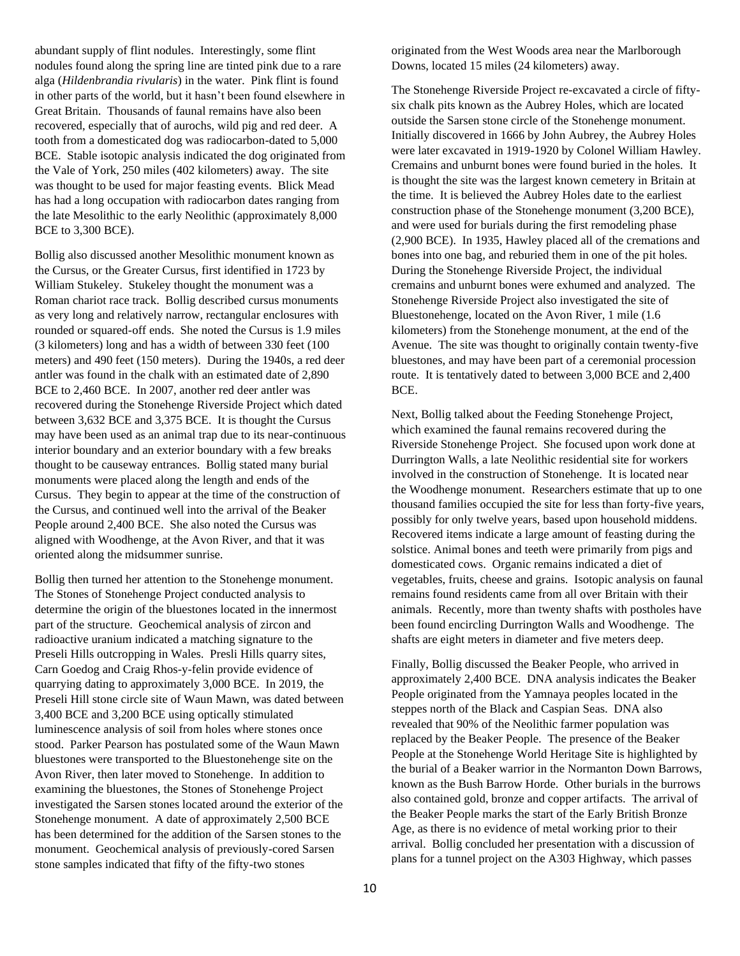abundant supply of flint nodules. Interestingly, some flint nodules found along the spring line are tinted pink due to a rare alga (*Hildenbrandia rivularis*) in the water. Pink flint is found in other parts of the world, but it hasn't been found elsewhere in Great Britain. Thousands of faunal remains have also been recovered, especially that of aurochs, wild pig and red deer. A tooth from a domesticated dog was radiocarbon-dated to 5,000 BCE. Stable isotopic analysis indicated the dog originated from the Vale of York, 250 miles (402 kilometers) away. The site was thought to be used for major feasting events. Blick Mead has had a long occupation with radiocarbon dates ranging from the late Mesolithic to the early Neolithic (approximately 8,000 BCE to 3,300 BCE).

Bollig also discussed another Mesolithic monument known as the Cursus, or the Greater Cursus, first identified in 1723 by William Stukeley. Stukeley thought the monument was a Roman chariot race track. Bollig described cursus monuments as very long and relatively narrow, rectangular enclosures with rounded or squared-off ends. She noted the Cursus is 1.9 miles (3 kilometers) long and has a width of between 330 feet (100 meters) and 490 feet (150 meters). During the 1940s, a red deer antler was found in the chalk with an estimated date of 2,890 BCE to 2,460 BCE. In 2007, another red deer antler was recovered during the Stonehenge Riverside Project which dated between 3,632 BCE and 3,375 BCE. It is thought the Cursus may have been used as an animal trap due to its near-continuous interior boundary and an exterior boundary with a few breaks thought to be causeway entrances. Bollig stated many burial monuments were placed along the length and ends of the Cursus. They begin to appear at the time of the construction of the Cursus, and continued well into the arrival of the Beaker People around 2,400 BCE. She also noted the Cursus was aligned with Woodhenge, at the Avon River, and that it was oriented along the midsummer sunrise.

Bollig then turned her attention to the Stonehenge monument. The Stones of Stonehenge Project conducted analysis to determine the origin of the bluestones located in the innermost part of the structure. Geochemical analysis of zircon and radioactive uranium indicated a matching signature to the Preseli Hills outcropping in Wales. Presli Hills quarry sites, Carn Goedog and Craig Rhos-y-felin provide evidence of quarrying dating to approximately 3,000 BCE. In 2019, the Preseli Hill stone circle site of Waun Mawn, was dated between 3,400 BCE and 3,200 BCE using optically stimulated luminescence analysis of soil from holes where stones once stood. Parker Pearson has postulated some of the Waun Mawn bluestones were transported to the Bluestonehenge site on the Avon River, then later moved to Stonehenge. In addition to examining the bluestones, the Stones of Stonehenge Project investigated the Sarsen stones located around the exterior of the Stonehenge monument. A date of approximately 2,500 BCE has been determined for the addition of the Sarsen stones to the monument. Geochemical analysis of previously-cored Sarsen stone samples indicated that fifty of the fifty-two stones

originated from the West Woods area near the Marlborough Downs, located 15 miles (24 kilometers) away.

The Stonehenge Riverside Project re-excavated a circle of fiftysix chalk pits known as the Aubrey Holes, which are located outside the Sarsen stone circle of the Stonehenge monument. Initially discovered in 1666 by John Aubrey, the Aubrey Holes were later excavated in 1919-1920 by Colonel William Hawley. Cremains and unburnt bones were found buried in the holes. It is thought the site was the largest known cemetery in Britain at the time. It is believed the Aubrey Holes date to the earliest construction phase of the Stonehenge monument (3,200 BCE), and were used for burials during the first remodeling phase (2,900 BCE). In 1935, Hawley placed all of the cremations and bones into one bag, and reburied them in one of the pit holes. During the Stonehenge Riverside Project, the individual cremains and unburnt bones were exhumed and analyzed. The Stonehenge Riverside Project also investigated the site of Bluestonehenge, located on the Avon River, 1 mile (1.6 kilometers) from the Stonehenge monument, at the end of the Avenue. The site was thought to originally contain twenty-five bluestones, and may have been part of a ceremonial procession route. It is tentatively dated to between 3,000 BCE and 2,400 BCE.

Next, Bollig talked about the Feeding Stonehenge Project, which examined the faunal remains recovered during the Riverside Stonehenge Project. She focused upon work done at Durrington Walls, a late Neolithic residential site for workers involved in the construction of Stonehenge. It is located near the Woodhenge monument. Researchers estimate that up to one thousand families occupied the site for less than forty-five years, possibly for only twelve years, based upon household middens. Recovered items indicate a large amount of feasting during the solstice. Animal bones and teeth were primarily from pigs and domesticated cows. Organic remains indicated a diet of vegetables, fruits, cheese and grains. Isotopic analysis on faunal remains found residents came from all over Britain with their animals. Recently, more than twenty shafts with postholes have been found encircling Durrington Walls and Woodhenge. The shafts are eight meters in diameter and five meters deep.

Finally, Bollig discussed the Beaker People, who arrived in approximately 2,400 BCE. DNA analysis indicates the Beaker People originated from the Yamnaya peoples located in the steppes north of the Black and Caspian Seas. DNA also revealed that 90% of the Neolithic farmer population was replaced by the Beaker People. The presence of the Beaker People at the Stonehenge World Heritage Site is highlighted by the burial of a Beaker warrior in the Normanton Down Barrows, known as the Bush Barrow Horde. Other burials in the burrows also contained gold, bronze and copper artifacts. The arrival of the Beaker People marks the start of the Early British Bronze Age, as there is no evidence of metal working prior to their arrival. Bollig concluded her presentation with a discussion of plans for a tunnel project on the A303 Highway, which passes